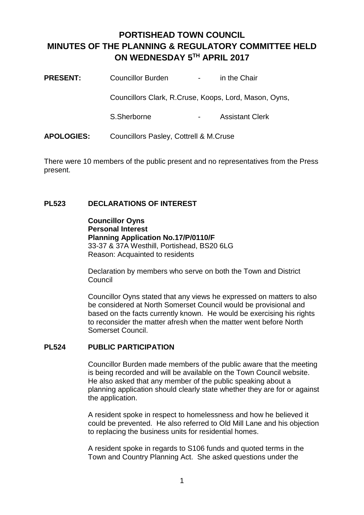# **PORTISHEAD TOWN COUNCIL MINUTES OF THE PLANNING & REGULATORY COMMITTEE HELD ON WEDNESDAY 5TH APRIL 2017**

| <b>PRESENT:</b>   | <b>Councillor Burden</b>                              | in the Chair           |  |  |
|-------------------|-------------------------------------------------------|------------------------|--|--|
|                   | Councillors Clark, R.Cruse, Koops, Lord, Mason, Oyns, |                        |  |  |
|                   | S.Sherborne                                           | <b>Assistant Clerk</b> |  |  |
| <b>APOLOGIES:</b> | Councillors Pasley, Cottrell & M.Cruse                |                        |  |  |
|                   |                                                       |                        |  |  |

There were 10 members of the public present and no representatives from the Press present.

# **PL523 DECLARATIONS OF INTEREST**

**Councillor Oyns Personal Interest Planning Application No.17/P/0110/F** 33-37 & 37A Westhill, Portishead, BS20 6LG Reason: Acquainted to residents

Declaration by members who serve on both the Town and District Council

Councillor Oyns stated that any views he expressed on matters to also be considered at North Somerset Council would be provisional and based on the facts currently known. He would be exercising his rights to reconsider the matter afresh when the matter went before North Somerset Council.

# **PL524 PUBLIC PARTICIPATION**

Councillor Burden made members of the public aware that the meeting is being recorded and will be available on the Town Council website. He also asked that any member of the public speaking about a planning application should clearly state whether they are for or against the application.

A resident spoke in respect to homelessness and how he believed it could be prevented. He also referred to Old Mill Lane and his objection to replacing the business units for residential homes.

A resident spoke in regards to S106 funds and quoted terms in the Town and Country Planning Act. She asked questions under the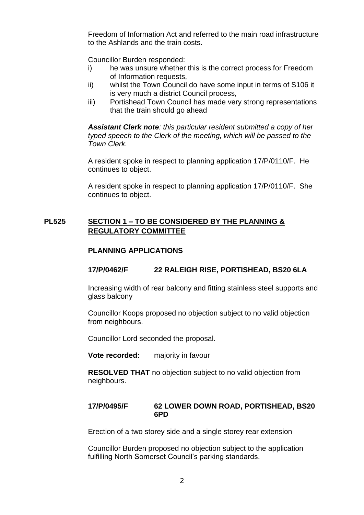Freedom of Information Act and referred to the main road infrastructure to the Ashlands and the train costs.

Councillor Burden responded:

- i) he was unsure whether this is the correct process for Freedom of Information requests,
- ii) whilst the Town Council do have some input in terms of S106 it is very much a district Council process,
- iii) Portishead Town Council has made very strong representations that the train should go ahead

*Assistant Clerk note: this particular resident submitted a copy of her typed speech to the Clerk of the meeting, which will be passed to the Town Clerk.*

A resident spoke in respect to planning application 17/P/0110/F. He continues to object.

A resident spoke in respect to planning application 17/P/0110/F. She continues to object.

# **PL525 SECTION 1 – TO BE CONSIDERED BY THE PLANNING & REGULATORY COMMITTEE**

# **PLANNING APPLICATIONS**

# **17/P/0462/F 22 RALEIGH RISE, PORTISHEAD, BS20 6LA**

Increasing width of rear balcony and fitting stainless steel supports and glass balcony

Councillor Koops proposed no objection subject to no valid objection from neighbours.

Councillor Lord seconded the proposal.

**Vote recorded:** majority in favour

**RESOLVED THAT** no objection subject to no valid objection from neighbours.

# **17/P/0495/F 62 LOWER DOWN ROAD, PORTISHEAD, BS20 6PD**

Erection of a two storey side and a single storey rear extension

Councillor Burden proposed no objection subject to the application fulfilling North Somerset Council's parking standards.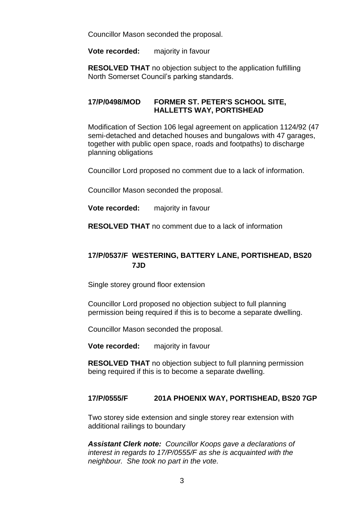Councillor Mason seconded the proposal.

**Vote recorded:** majority in favour

**RESOLVED THAT** no objection subject to the application fulfilling North Somerset Council's parking standards.

# **17/P/0498/MOD FORMER ST. PETER'S SCHOOL SITE, HALLETTS WAY, PORTISHEAD**

Modification of Section 106 legal agreement on application 1124/92 (47 semi-detached and detached houses and bungalows with 47 garages, together with public open space, roads and footpaths) to discharge planning obligations

Councillor Lord proposed no comment due to a lack of information.

Councillor Mason seconded the proposal.

**Vote recorded:** majority in favour

**RESOLVED THAT** no comment due to a lack of information

# **17/P/0537/F WESTERING, BATTERY LANE, PORTISHEAD, BS20 7JD**

Single storey ground floor extension

Councillor Lord proposed no objection subject to full planning permission being required if this is to become a separate dwelling.

Councillor Mason seconded the proposal.

**Vote recorded:** majority in favour

**RESOLVED THAT** no objection subject to full planning permission being required if this is to become a separate dwelling.

# **17/P/0555/F 201A PHOENIX WAY, PORTISHEAD, BS20 7GP**

Two storey side extension and single storey rear extension with additional railings to boundary

*Assistant Clerk note: Councillor Koops gave a declarations of interest in regards to 17/P/0555/F as she is acquainted with the neighbour. She took no part in the vote.*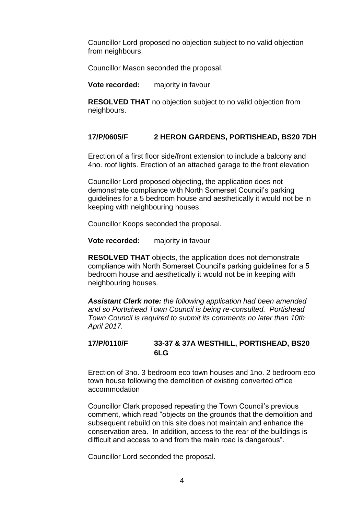Councillor Lord proposed no objection subject to no valid objection from neighbours.

Councillor Mason seconded the proposal.

**Vote recorded:** majority in favour

**RESOLVED THAT** no objection subject to no valid objection from neighbours.

#### **17/P/0605/F 2 HERON GARDENS, PORTISHEAD, BS20 7DH**

Erection of a first floor side/front extension to include a balcony and 4no. roof lights. Erection of an attached garage to the front elevation

Councillor Lord proposed objecting, the application does not demonstrate compliance with North Somerset Council's parking guidelines for a 5 bedroom house and aesthetically it would not be in keeping with neighbouring houses.

Councillor Koops seconded the proposal.

**Vote recorded:** majority in favour

**RESOLVED THAT** objects, the application does not demonstrate compliance with North Somerset Council's parking guidelines for a 5 bedroom house and aesthetically it would not be in keeping with neighbouring houses.

*Assistant Clerk note: the following application had been amended and so Portishead Town Council is being re-consulted. Portishead Town Council is required to submit its comments no later than 10th April 2017.* 

# **17/P/0110/F 33-37 & 37A WESTHILL, PORTISHEAD, BS20 6LG**

Erection of 3no. 3 bedroom eco town houses and 1no. 2 bedroom eco town house following the demolition of existing converted office accommodation

Councillor Clark proposed repeating the Town Council's previous comment, which read "objects on the grounds that the demolition and subsequent rebuild on this site does not maintain and enhance the conservation area. In addition, access to the rear of the buildings is difficult and access to and from the main road is dangerous".

Councillor Lord seconded the proposal.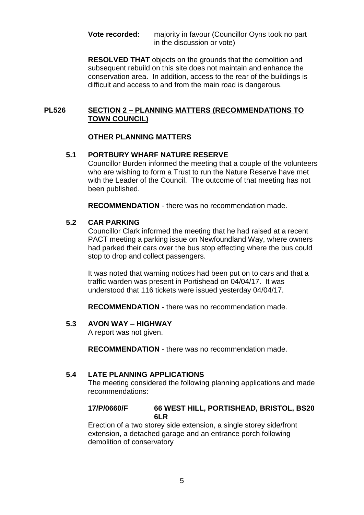**Vote recorded:** majority in favour (Councillor Oyns took no part in the discussion or vote)

**RESOLVED THAT** objects on the grounds that the demolition and subsequent rebuild on this site does not maintain and enhance the conservation area. In addition, access to the rear of the buildings is difficult and access to and from the main road is dangerous.

## **PL526 SECTION 2 – PLANNING MATTERS (RECOMMENDATIONS TO TOWN COUNCIL)**

# **OTHER PLANNING MATTERS**

# **5.1 PORTBURY WHARF NATURE RESERVE**

Councillor Burden informed the meeting that a couple of the volunteers who are wishing to form a Trust to run the Nature Reserve have met with the Leader of the Council. The outcome of that meeting has not been published.

**RECOMMENDATION** - there was no recommendation made.

# **5.2 CAR PARKING**

Councillor Clark informed the meeting that he had raised at a recent PACT meeting a parking issue on Newfoundland Way, where owners had parked their cars over the bus stop effecting where the bus could stop to drop and collect passengers.

It was noted that warning notices had been put on to cars and that a traffic warden was present in Portishead on 04/04/17. It was understood that 116 tickets were issued yesterday 04/04/17.

**RECOMMENDATION** - there was no recommendation made.

# **5.3 AVON WAY – HIGHWAY**

A report was not given.

**RECOMMENDATION** - there was no recommendation made.

# **5.4 LATE PLANNING APPLICATIONS**

The meeting considered the following planning applications and made recommendations:

#### **17/P/0660/F 66 WEST HILL, PORTISHEAD, BRISTOL, BS20 6LR**

Erection of a two storey side extension, a single storey side/front extension, a detached garage and an entrance porch following demolition of conservatory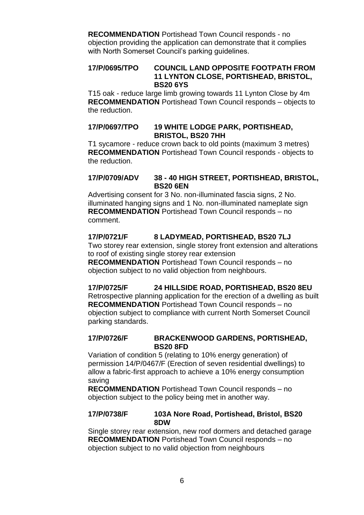**RECOMMENDATION** Portishead Town Council responds - no objection providing the application can demonstrate that it complies with North Somerset Council's parking quidelines.

# **17/P/0695/TPO COUNCIL LAND OPPOSITE FOOTPATH FROM 11 LYNTON CLOSE, PORTISHEAD, BRISTOL, BS20 6YS**

T15 oak - reduce large limb growing towards 11 Lynton Close by 4m **RECOMMENDATION** Portishead Town Council responds – objects to the reduction.

# **17/P/0697/TPO 19 WHITE LODGE PARK, PORTISHEAD, BRISTOL, BS20 7HH**

T1 sycamore - reduce crown back to old points (maximum 3 metres) **RECOMMENDATION** Portishead Town Council responds - objects to the reduction.

# **17/P/0709/ADV 38 - 40 HIGH STREET, PORTISHEAD, BRISTOL, BS20 6EN**

Advertising consent for 3 No. non-illuminated fascia signs, 2 No. illuminated hanging signs and 1 No. non-illuminated nameplate sign **RECOMMENDATION** Portishead Town Council responds – no comment.

# **17/P/0721/F 8 LADYMEAD, PORTISHEAD, BS20 7LJ**

Two storey rear extension, single storey front extension and alterations to roof of existing single storey rear extension

**RECOMMENDATION** Portishead Town Council responds – no objection subject to no valid objection from neighbours.

# **17/P/0725/F 24 HILLSIDE ROAD, PORTISHEAD, BS20 8EU**

Retrospective planning application for the erection of a dwelling as built **RECOMMENDATION** Portishead Town Council responds – no objection subject to compliance with current North Somerset Council parking standards.

# **17/P/0726/F BRACKENWOOD GARDENS, PORTISHEAD, BS20 8FD**

Variation of condition 5 (relating to 10% energy generation) of permission 14/P/0467/F (Erection of seven residential dwellings) to allow a fabric-first approach to achieve a 10% energy consumption saving

**RECOMMENDATION** Portishead Town Council responds – no objection subject to the policy being met in another way.

# **17/P/0738/F 103A Nore Road, Portishead, Bristol, BS20 8DW**

Single storey rear extension, new roof dormers and detached garage **RECOMMENDATION** Portishead Town Council responds – no objection subject to no valid objection from neighbours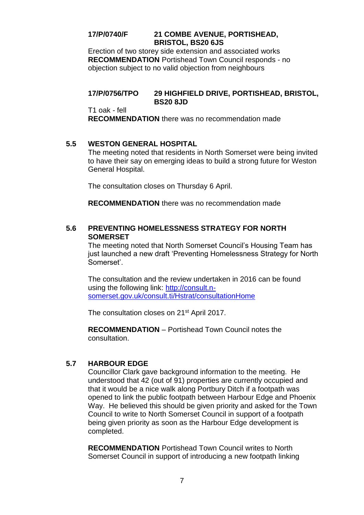# **17/P/0740/F 21 COMBE AVENUE, PORTISHEAD, BRISTOL, BS20 6JS**

Erection of two storey side extension and associated works **RECOMMENDATION** Portishead Town Council responds - no objection subject to no valid objection from neighbours

# **17/P/0756/TPO 29 HIGHFIELD DRIVE, PORTISHEAD, BRISTOL, BS20 8JD**

T1 oak - fell

**RECOMMENDATION** there was no recommendation made

# **5.5 WESTON GENERAL HOSPITAL**

The meeting noted that residents in North Somerset were being invited to have their say on emerging ideas to build a strong future for Weston General Hospital.

The consultation closes on Thursday 6 April.

**RECOMMENDATION** there was no recommendation made

# **5.6 PREVENTING HOMELESSNESS STRATEGY FOR NORTH SOMERSET**

The meeting noted that North Somerset Council's Housing Team has just launched a new draft 'Preventing Homelessness Strategy for North Somerset'.

The consultation and the review undertaken in 2016 can be found using the following link: [http://consult.n](http://consult.n-somerset.gov.uk/consult.ti/Hstrat/consultationHome)[somerset.gov.uk/consult.ti/Hstrat/consultationHome](http://consult.n-somerset.gov.uk/consult.ti/Hstrat/consultationHome)

The consultation closes on 21<sup>st</sup> April 2017.

**RECOMMENDATION** – Portishead Town Council notes the consultation.

# **5.7 HARBOUR EDGE**

Councillor Clark gave background information to the meeting. He understood that 42 (out of 91) properties are currently occupied and that it would be a nice walk along Portbury Ditch if a footpath was opened to link the public footpath between Harbour Edge and Phoenix Way. He believed this should be given priority and asked for the Town Council to write to North Somerset Council in support of a footpath being given priority as soon as the Harbour Edge development is completed.

**RECOMMENDATION** Portishead Town Council writes to North Somerset Council in support of introducing a new footpath linking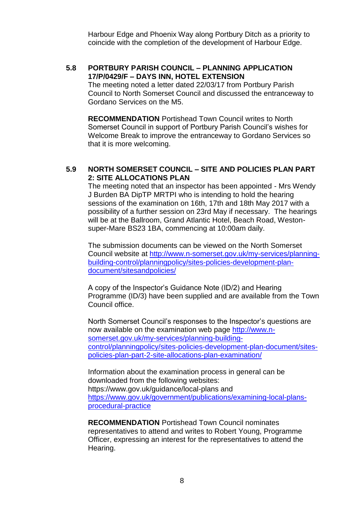Harbour Edge and Phoenix Way along Portbury Ditch as a priority to coincide with the completion of the development of Harbour Edge.

# **5.8 PORTBURY PARISH COUNCIL – PLANNING APPLICATION 17/P/0429/F – DAYS INN, HOTEL EXTENSION**

The meeting noted a letter dated 22/03/17 from Portbury Parish Council to North Somerset Council and discussed the entranceway to Gordano Services on the M5.

**RECOMMENDATION** Portishead Town Council writes to North Somerset Council in support of Portbury Parish Council's wishes for Welcome Break to improve the entranceway to Gordano Services so that it is more welcoming.

### **5.9 NORTH SOMERSET COUNCIL – SITE AND POLICIES PLAN PART 2: SITE ALLOCATIONS PLAN**

The meeting noted that an inspector has been appointed - Mrs Wendy J Burden BA DipTP MRTPI who is intending to hold the hearing sessions of the examination on 16th, 17th and 18th May 2017 with a possibility of a further session on 23rd May if necessary. The hearings will be at the Ballroom, Grand Atlantic Hotel, Beach Road, Westonsuper-Mare BS23 1BA, commencing at 10:00am daily.

The submission documents can be viewed on the North Somerset Council website at [http://www.n-somerset.gov.uk/my-services/planning](http://www.n-somerset.gov.uk/my-services/planning-building-control/planningpolicy/sites-policies-development-plan-document/sitesandpolicies/)[building-control/planningpolicy/sites-policies-development-plan](http://www.n-somerset.gov.uk/my-services/planning-building-control/planningpolicy/sites-policies-development-plan-document/sitesandpolicies/)[document/sitesandpolicies/](http://www.n-somerset.gov.uk/my-services/planning-building-control/planningpolicy/sites-policies-development-plan-document/sitesandpolicies/)

A copy of the Inspector's Guidance Note (ID/2) and Hearing Programme (ID/3) have been supplied and are available from the Town Council office.

North Somerset Council's responses to the Inspector's questions are now available on the examination web page [http://www.n](http://www.n-somerset.gov.uk/my-services/planning-building-control/planningpolicy/sites-policies-development-plan-document/sites-policies-plan-part-2-site-allocations-plan-examination/)[somerset.gov.uk/my-services/planning-building](http://www.n-somerset.gov.uk/my-services/planning-building-control/planningpolicy/sites-policies-development-plan-document/sites-policies-plan-part-2-site-allocations-plan-examination/)[control/planningpolicy/sites-policies-development-plan-document/sites](http://www.n-somerset.gov.uk/my-services/planning-building-control/planningpolicy/sites-policies-development-plan-document/sites-policies-plan-part-2-site-allocations-plan-examination/)[policies-plan-part-2-site-allocations-plan-examination/](http://www.n-somerset.gov.uk/my-services/planning-building-control/planningpolicy/sites-policies-development-plan-document/sites-policies-plan-part-2-site-allocations-plan-examination/)

Information about the examination process in general can be downloaded from the following websites: <https://www.gov.uk/guidance/local-plans> and [https://www.gov.uk/government/publications/examining-local-plans](https://www.gov.uk/government/publications/examining-local-plans-procedural-practice)[procedural-practice](https://www.gov.uk/government/publications/examining-local-plans-procedural-practice)

**RECOMMENDATION** Portishead Town Council nominates representatives to attend and writes to Robert Young, Programme Officer, expressing an interest for the representatives to attend the Hearing.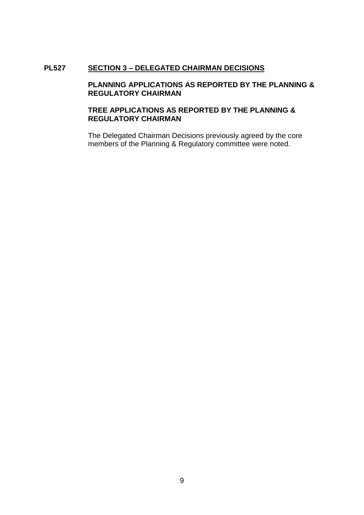# **PL527 SECTION 3 – DELEGATED CHAIRMAN DECISIONS**

### **PLANNING APPLICATIONS AS REPORTED BY THE PLANNING & REGULATORY CHAIRMAN**

# **TREE APPLICATIONS AS REPORTED BY THE PLANNING & REGULATORY CHAIRMAN**

The Delegated Chairman Decisions previously agreed by the core members of the Planning & Regulatory committee were noted.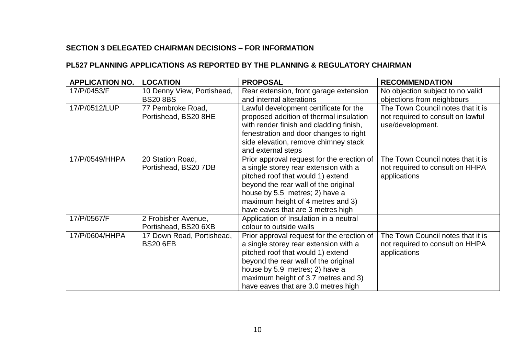# **SECTION 3 DELEGATED CHAIRMAN DECISIONS – FOR INFORMATION**

# **PL527 PLANNING APPLICATIONS AS REPORTED BY THE PLANNING & REGULATORY CHAIRMAN**

| <b>APPLICATION NO.</b> | <b>LOCATION</b>                              | <b>PROPOSAL</b>                                                                                                                                                                                                                                                                  | <b>RECOMMENDATION</b>                                                                      |
|------------------------|----------------------------------------------|----------------------------------------------------------------------------------------------------------------------------------------------------------------------------------------------------------------------------------------------------------------------------------|--------------------------------------------------------------------------------------------|
| 17/P/0453/F            | 10 Denny View, Portishead,                   | Rear extension, front garage extension                                                                                                                                                                                                                                           | No objection subject to no valid                                                           |
|                        | <b>BS20 8BS</b>                              | and internal alterations                                                                                                                                                                                                                                                         | objections from neighbours                                                                 |
| 17/P/0512/LUP          | 77 Pembroke Road,<br>Portishead, BS20 8HE    | Lawful development certificate for the<br>proposed addition of thermal insulation<br>with render finish and cladding finish,<br>fenestration and door changes to right<br>side elevation, remove chimney stack<br>and external steps                                             | The Town Council notes that it is<br>not required to consult on lawful<br>use/development. |
| 17/P/0549/HHPA         | 20 Station Road,<br>Portishead, BS20 7DB     | Prior approval request for the erection of<br>a single storey rear extension with a<br>pitched roof that would 1) extend<br>beyond the rear wall of the original<br>house by 5.5 metres; 2) have a<br>maximum height of 4 metres and 3)<br>have eaves that are 3 metres high     | The Town Council notes that it is<br>not required to consult on HHPA<br>applications       |
| 17/P/0567/F            | 2 Frobisher Avenue,<br>Portishead, BS20 6XB  | Application of Insulation in a neutral<br>colour to outside walls                                                                                                                                                                                                                |                                                                                            |
| 17/P/0604/HHPA         | 17 Down Road, Portishead,<br><b>BS20 6EB</b> | Prior approval request for the erection of<br>a single storey rear extension with a<br>pitched roof that would 1) extend<br>beyond the rear wall of the original<br>house by 5.9 metres; 2) have a<br>maximum height of 3.7 metres and 3)<br>have eaves that are 3.0 metres high | The Town Council notes that it is<br>not required to consult on HHPA<br>applications       |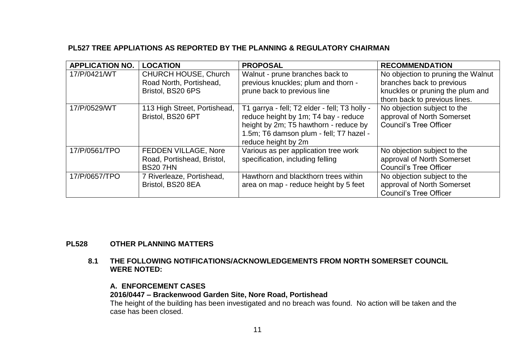# **PL527 TREE APPLIATIONS AS REPORTED BY THE PLANNING & REGULATORY CHAIRMAN**

| <b>APPLICATION NO.</b> | <b>LOCATION</b>                                                             | <b>PROPOSAL</b>                                                                                                                                                                                  | <b>RECOMMENDATION</b>                                                                                                                |
|------------------------|-----------------------------------------------------------------------------|--------------------------------------------------------------------------------------------------------------------------------------------------------------------------------------------------|--------------------------------------------------------------------------------------------------------------------------------------|
| 17/P/0421/WT           | <b>CHURCH HOUSE, Church</b><br>Road North, Portishead,<br>Bristol, BS20 6PS | Walnut - prune branches back to<br>previous knuckles; plum and thorn -<br>prune back to previous line                                                                                            | No objection to pruning the Walnut<br>branches back to previous<br>knuckles or pruning the plum and<br>thorn back to previous lines. |
| 17/P/0529/WT           | 113 High Street, Portishead,<br>Bristol, BS20 6PT                           | T1 garrya - fell; T2 elder - fell; T3 holly -<br>reduce height by 1m; T4 bay - reduce<br>height by 2m; T5 hawthorn - reduce by<br>1.5m; T6 damson plum - fell; T7 hazel -<br>reduce height by 2m | No objection subject to the<br>approval of North Somerset<br><b>Council's Tree Officer</b>                                           |
| 17/P/0561/TPO          | <b>FEDDEN VILLAGE, Nore</b><br>Road, Portishead, Bristol,<br><b>BS207HN</b> | Various as per application tree work<br>specification, including felling                                                                                                                         | No objection subject to the<br>approval of North Somerset<br><b>Council's Tree Officer</b>                                           |
| 17/P/0657/TPO          | 7 Riverleaze, Portishead,<br>Bristol, BS20 8EA                              | Hawthorn and blackthorn trees within<br>area on map - reduce height by 5 feet                                                                                                                    | No objection subject to the<br>approval of North Somerset<br><b>Council's Tree Officer</b>                                           |

## **PL528 OTHER PLANNING MATTERS**

**8.1 THE FOLLOWING NOTIFICATIONS/ACKNOWLEDGEMENTS FROM NORTH SOMERSET COUNCIL WERE NOTED:**

## **A. ENFORCEMENT CASES**

**2016/0447 – Brackenwood Garden Site, Nore Road, Portishead**

The height of the building has been investigated and no breach was found. No action will be taken and the case has been closed.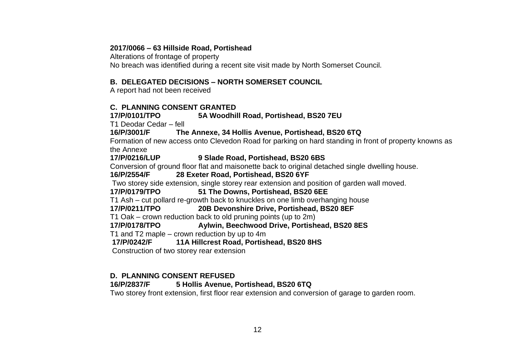#### **2017/0066 – 63 Hillside Road, Portishead**

Alterations of frontage of property No breach was identified during a recent site visit made by North Somerset Council.

#### **B. DELEGATED DECISIONS – NORTH SOMERSET COUNCIL**

A report had not been received

### **C. PLANNING CONSENT GRANTED**

 **17/P/0101/TPO 5A Woodhill Road, Portishead, BS20 7EU**

T1 Deodar Cedar – fell

### **16/P/3001/F The Annexe, 34 Hollis Avenue, Portishead, BS20 6TQ**

Formation of new access onto Clevedon Road for parking on hard standing in front of property knowns as the Annexe

#### **17/P/0216/LUP 9 Slade Road, Portishead, BS20 6BS**

Conversion of ground floor flat and maisonette back to original detached single dwelling house.

#### **16/P/2554/F 28 Exeter Road, Portishead, BS20 6YF**

Two storey side extension, single storey rear extension and position of garden wall moved.

#### **17/P/0179/TPO 51 The Downs, Portishead, BS20 6EE**

T1 Ash – cut pollard re-growth back to knuckles on one limb overhanging house

#### **17/P/0211/TPO 20B Devonshire Drive, Portishead, BS20 8EF**

T1 Oak – crown reduction back to old pruning points (up to 2m)

**17/P/0178/TPO Aylwin, Beechwood Drive, Portishead, BS20 8ES**

T1 and T2 maple – crown reduction by up to 4m

#### **17/P/0242/F 11A Hillcrest Road, Portishead, BS20 8HS**

Construction of two storey rear extension

# **D. PLANNING CONSENT REFUSED**

## **16/P/2837/F 5 Hollis Avenue, Portishead, BS20 6TQ**

Two storey front extension, first floor rear extension and conversion of garage to garden room.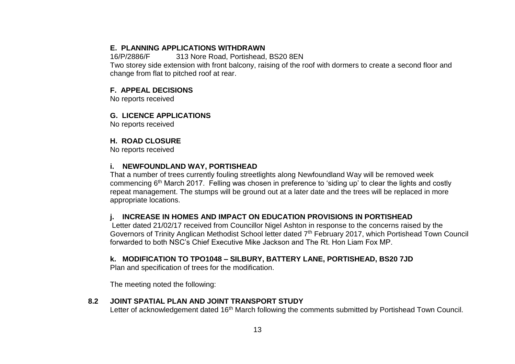# **E. PLANNING APPLICATIONS WITHDRAWN**

16/P/2886/F 313 Nore Road, Portishead, BS20 8EN

Two storey side extension with front balcony, raising of the roof with dormers to create a second floor and change from flat to pitched roof at rear.

## **F. APPEAL DECISIONS**

No reports received

## **G. LICENCE APPLICATIONS**

No reports received

## **H. ROAD CLOSURE**

No reports received

# **i. NEWFOUNDLAND WAY, PORTISHEAD**

That a number of trees currently fouling streetlights along Newfoundland Way will be removed week commencing 6th March 2017. Felling was chosen in preference to 'siding up' to clear the lights and costly repeat management. The stumps will be ground out at a later date and the trees will be replaced in more appropriate locations.

# **j. INCREASE IN HOMES AND IMPACT ON EDUCATION PROVISIONS IN PORTISHEAD**

Letter dated 21/02/17 received from Councillor Nigel Ashton in response to the concerns raised by the Governors of Trinity Anglican Methodist School letter dated 7<sup>th</sup> February 2017, which Portishead Town Council forwarded to both NSC's Chief Executive Mike Jackson and The Rt. Hon Liam Fox MP.

# **k. MODIFICATION TO TPO1048 – SILBURY, BATTERY LANE, PORTISHEAD, BS20 7JD**

Plan and specification of trees for the modification.

The meeting noted the following:

## **8.2 JOINT SPATIAL PLAN AND JOINT TRANSPORT STUDY**

Letter of acknowledgement dated 16<sup>th</sup> March following the comments submitted by Portishead Town Council.